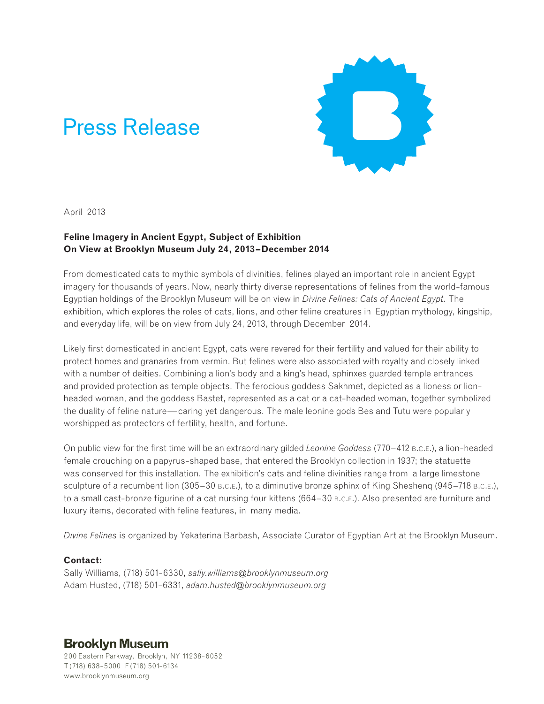# Press Release



April 2013

## **Feline Imagery in Ancient Egypt, Subject of Exhibition On View at Brooklyn Museum July 24, 2013–December 2014**

From domesticated cats to mythic symbols of divinities, felines played an important role in ancient Egypt imagery for thousands of years. Now, nearly thirty diverse representations of felines from the world-famous Egyptian holdings of the Brooklyn Museum will be on view in *Divine Felines: Cats of Ancient Egypt.* The exhibition, which explores the roles of cats, lions, and other feline creatures in Egyptian mythology, kingship, and everyday life, will be on view from July 24, 2013, through December 2014.

Likely first domesticated in ancient Egypt, cats were revered for their fertility and valued for their ability to protect homes and granaries from vermin. But felines were also associated with royalty and closely linked with a number of deities. Combining a lion's body and a king's head, sphinxes guarded temple entrances and provided protection as temple objects. The ferocious goddess Sakhmet, depicted as a lioness or lionheaded woman, and the goddess Bastet, represented as a cat or a cat-headed woman, together symbolized the duality of feline nature—caring yet dangerous. The male leonine gods Bes and Tutu were popularly worshipped as protectors of fertility, health, and fortune.

On public view for the first time will be an extraordinary gilded *Leonine Goddess* (770–412 b.c.e.), a lion-headed female crouching on a papyrus-shaped base, that entered the Brooklyn collection in 1937; the statuette was conserved for this installation. The exhibition's cats and feline divinities range from a large limestone sculpture of a recumbent lion (305–30  $B.C.E.$ ), to a diminutive bronze sphinx of King Shesheng (945–718  $B.C.E.$ ), to a small cast-bronze figurine of a cat nursing four kittens (664–30 B.C.E.). Also presented are furniture and luxury items, decorated with feline features, in many media.

*Divine Felines* is organized by Yekaterina Barbash, Associate Curator of Egyptian Art at the Brooklyn Museum.

### **Contact:**

Sally Williams, (718) 501-6330, *sally.williams@brooklynmuseum.org* Adam Husted, (718) 501-6331, *adam.husted@brooklynmuseum.org*

# **Brooklyn Museum**

200 Eastern Parkway, Brooklyn, NY 11238-6052 T (718) 638-5000 F (718) 501-6134 www.brooklynmuseum.org